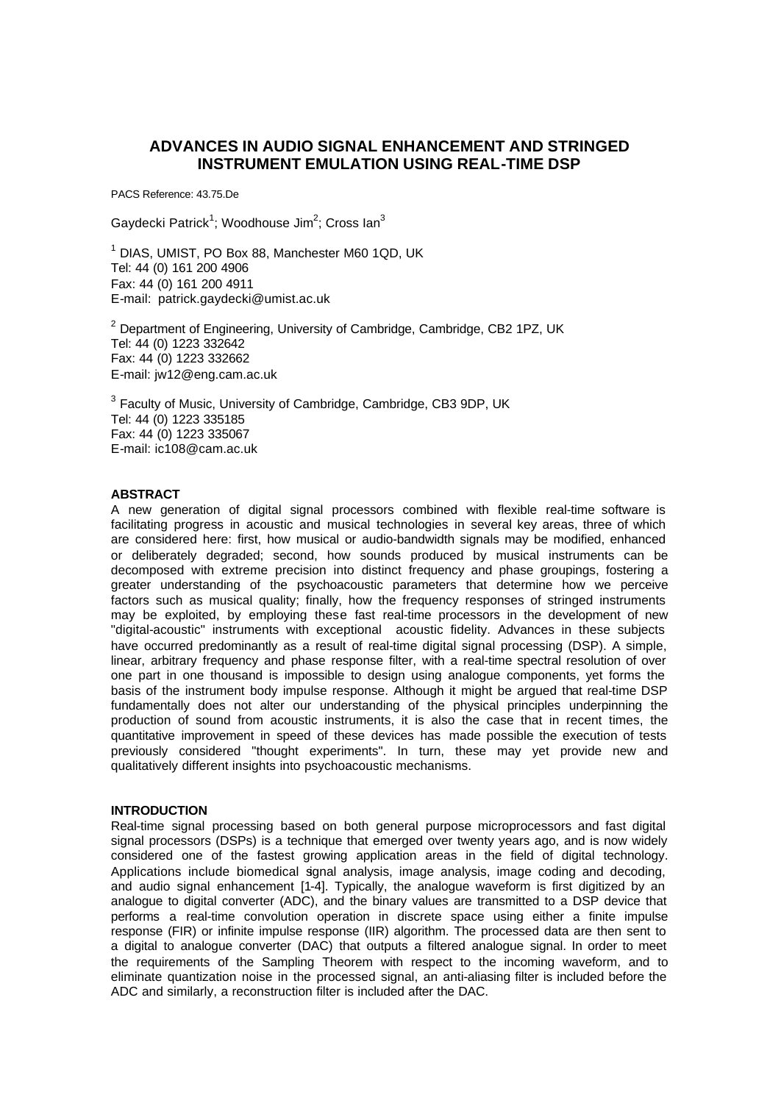# **ADVANCES IN AUDIO SIGNAL ENHANCEMENT AND STRINGED INSTRUMENT EMULATION USING REAL-TIME DSP**

PACS Reference: 43.75.De

Gaydecki Patrick<sup>1</sup>; Woodhouse Jim<sup>2</sup>; Cross Ian<sup>3</sup>

<sup>1</sup> DIAS, UMIST, PO Box 88, Manchester M60 1QD, UK Tel: 44 (0) 161 200 4906 Fax: 44 (0) 161 200 4911 E-mail: patrick.gaydecki@umist.ac.uk

 $2$  Department of Engineering, University of Cambridge, Cambridge, CB2 1PZ, UK Tel: 44 (0) 1223 332642 Fax: 44 (0) 1223 332662 E-mail: jw12@eng.cam.ac.uk

 $3$  Faculty of Music, University of Cambridge, Cambridge, CB3 9DP, UK Tel: 44 (0) 1223 335185 Fax: 44 (0) 1223 335067 E-mail: ic108@cam.ac.uk

## **ABSTRACT**

A new generation of digital signal processors combined with flexible real-time software is facilitating progress in acoustic and musical technologies in several key areas, three of which are considered here: first, how musical or audio-bandwidth signals may be modified, enhanced or deliberately degraded; second, how sounds produced by musical instruments can be decomposed with extreme precision into distinct frequency and phase groupings, fostering a greater understanding of the psychoacoustic parameters that determine how we perceive factors such as musical quality; finally, how the frequency responses of stringed instruments may be exploited, by employing these fast real-time processors in the development of new "digital-acoustic" instruments with exceptional acoustic fidelity. Advances in these subjects have occurred predominantly as a result of real-time digital signal processing (DSP). A simple, linear, arbitrary frequency and phase response filter, with a real-time spectral resolution of over one part in one thousand is impossible to design using analogue components, yet forms the basis of the instrument body impulse response. Although it might be argued that real-time DSP fundamentally does not alter our understanding of the physical principles underpinning the production of sound from acoustic instruments, it is also the case that in recent times, the quantitative improvement in speed of these devices has made possible the execution of tests previously considered "thought experiments". In turn, these may yet provide new and qualitatively different insights into psychoacoustic mechanisms.

## **INTRODUCTION**

Real-time signal processing based on both general purpose microprocessors and fast digital signal processors (DSPs) is a technique that emerged over twenty years ago, and is now widely considered one of the fastest growing application areas in the field of digital technology. Applications include biomedical signal analysis, image analysis, image coding and decoding, and audio signal enhancement [1-4]. Typically, the analogue waveform is first digitized by an analogue to digital converter (ADC), and the binary values are transmitted to a DSP device that performs a real-time convolution operation in discrete space using either a finite impulse response (FIR) or infinite impulse response (IIR) algorithm. The processed data are then sent to a digital to analogue converter (DAC) that outputs a filtered analogue signal. In order to meet the requirements of the Sampling Theorem with respect to the incoming waveform, and to eliminate quantization noise in the processed signal, an anti-aliasing filter is included before the ADC and similarly, a reconstruction filter is included after the DAC.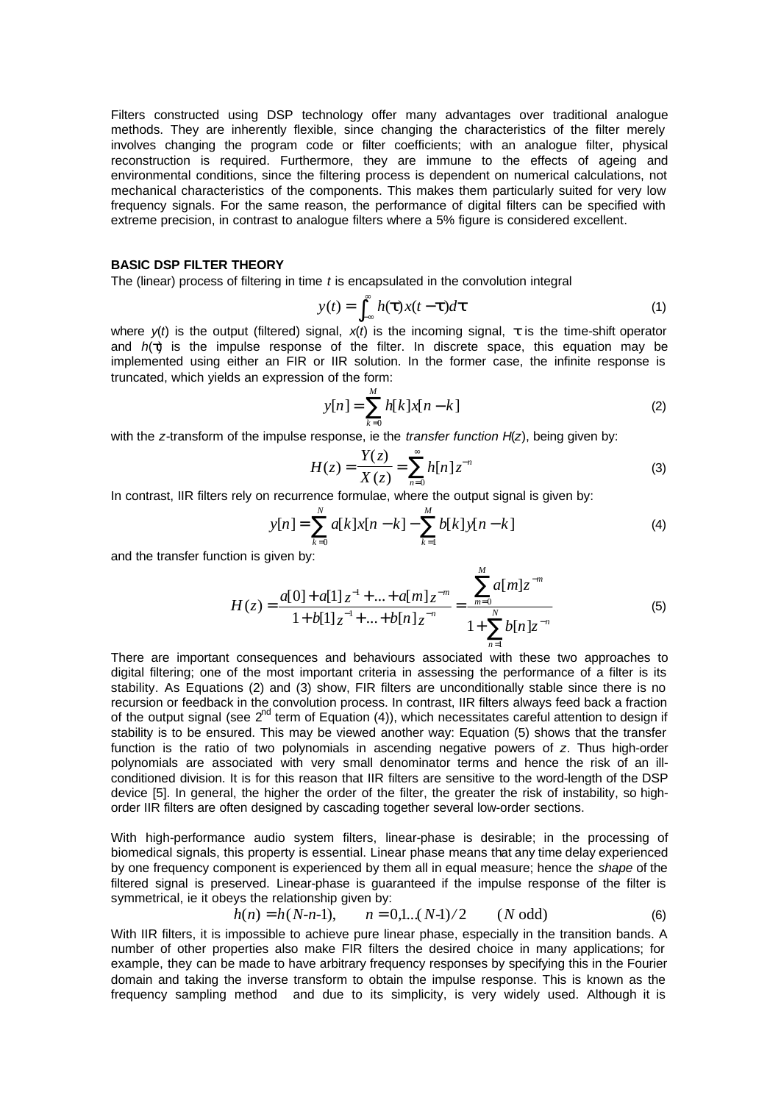Filters constructed using DSP technology offer many advantages over traditional analogue methods. They are inherently flexible, since changing the characteristics of the filter merely involves changing the program code or filter coefficients; with an analogue filter, physical reconstruction is required. Furthermore, they are immune to the effects of ageing and environmental conditions, since the filtering process is dependent on numerical calculations, not mechanical characteristics of the components. This makes them particularly suited for very low frequency signals. For the same reason, the performance of digital filters can be specified with extreme precision, in contrast to analogue filters where a 5% figure is considered excellent.

## **BASIC DSP FILTER THEORY**

The (linear) process of filtering in time *t* is encapsulated in the convolution integral

$$
y(t) = \int_{-\infty}^{\infty} h(t)x(t-t)dt
$$
 (1)

where *y*(*t*) is the output (filtered) signal, *x*(*t*) is the incoming signal, *t* is the time-shift operator and *h*(*t*) is the impulse response of the filter. In discrete space, this equation may be implemented using either an FIR or IIR solution. In the former case, the infinite response is truncated, which yields an expression of the form:

$$
y[n] = \sum_{k=0}^{M} h[k]x[n-k]
$$
 (2)

with the *z*-transform of the impulse response, ie the *transfer function H*(*z*), being given by:

$$
H(z) = \frac{Y(z)}{X(z)} = \sum_{n=0}^{\infty} h[n] z^{-n}
$$
 (3)

In contrast, IIR filters rely on recurrence formulae, where the output signal is given by:

$$
y[n] = \sum_{k=0}^{N} a[k]x[n-k] - \sum_{k=1}^{M} b[k]y[n-k]
$$
 (4)

*M*

and the transfer function is given by:

$$
H(z) = \frac{a[0] + a[1]z^{-1} + ... + a[m]z^{-m}}{1 + b[1]z^{-1} + ... + b[n]z^{-n}} = \frac{\sum_{m=0}^{\infty} a[m]z^{-m}}{1 + \sum_{n=1}^{N} b[n]z^{-n}}
$$
(5)

There are important consequences and behaviours associated with these two approaches to digital filtering; one of the most important criteria in assessing the performance of a filter is its stability. As Equations (2) and (3) show, FIR filters are unconditionally stable since there is no recursion or feedback in the convolution process. In contrast, IIR filters always feed back a fraction of the output signal (see  $2^{nd}$  term of Equation (4)), which necessitates careful attention to design if stability is to be ensured. This may be viewed another way: Equation (5) shows that the transfer function is the ratio of two polynomials in ascending negative powers of *z*. Thus high-order polynomials are associated with very small denominator terms and hence the risk of an illconditioned division. It is for this reason that IIR filters are sensitive to the word-length of the DSP device [5]. In general, the higher the order of the filter, the greater the risk of instability, so highorder IIR filters are often designed by cascading together several low-order sections.

With high-performance audio system filters, linear-phase is desirable; in the processing of biomedical signals, this property is essential. Linear phase means that any time delay experienced by one frequency component is experienced by them all in equal measure; hence the *shape* of the filtered signal is preserved. Linear-phase is guaranteed if the impulse response of the filter is symmetrical, ie it obeys the relationship given by:

$$
h(n) = h(N-n-1), \qquad n = 0, 1 \dots (N-1)/2 \qquad (N \text{ odd})
$$
 (6)

With IIR filters, it is impossible to achieve pure linear phase, especially in the transition bands. A number of other properties also make FIR filters the desired choice in many applications; for example, they can be made to have arbitrary frequency responses by specifying this in the Fourier domain and taking the inverse transform to obtain the impulse response. This is known as the frequency sampling method and due to its simplicity, is very widely used. Although it is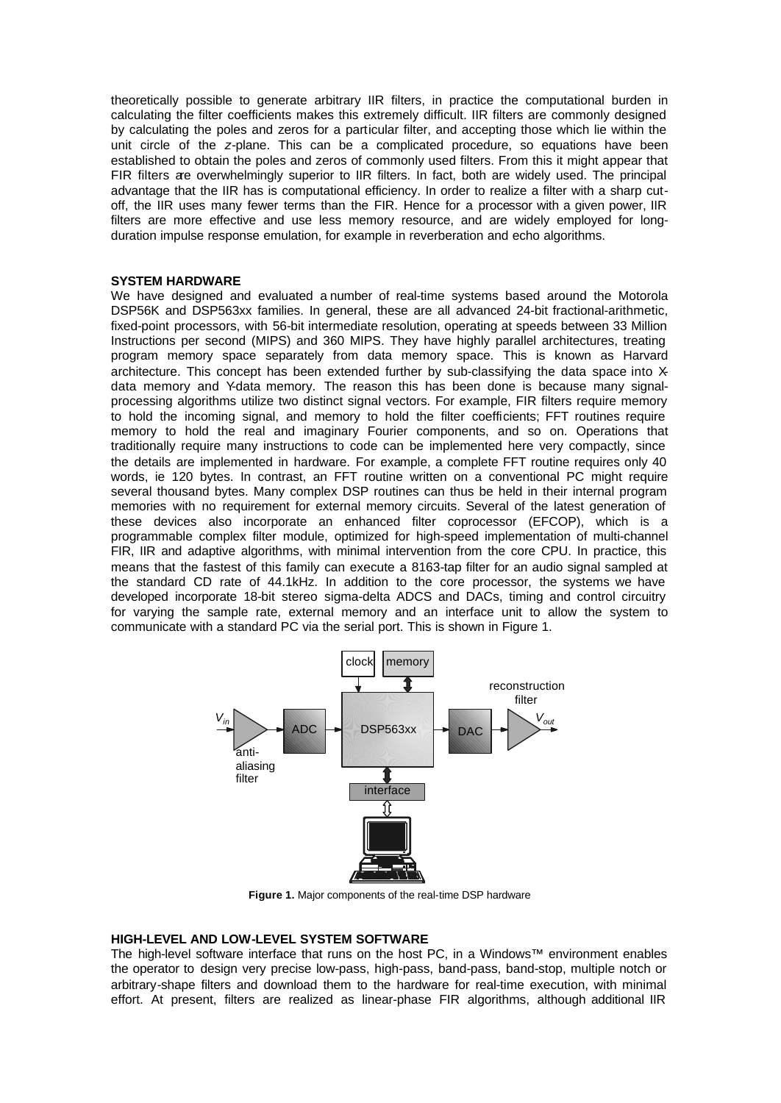theoretically possible to generate arbitrary IIR filters, in practice the computational burden in calculating the filter coefficients makes this extremely difficult. IIR filters are commonly designed by calculating the poles and zeros for a particular filter, and accepting those which lie within the unit circle of the *z*-plane. This can be a complicated procedure, so equations have been established to obtain the poles and zeros of commonly used filters. From this it might appear that FIR filters are overwhelmingly superior to IIR filters. In fact, both are widely used. The principal advantage that the IIR has is computational efficiency. In order to realize a filter with a sharp cutoff, the IIR uses many fewer terms than the FIR. Hence for a processor with a given power, IIR filters are more effective and use less memory resource, and are widely employed for longduration impulse response emulation, for example in reverberation and echo algorithms.

## **SYSTEM HARDWARE**

We have designed and evaluated a number of real-time systems based around the Motorola DSP56K and DSP563xx families. In general, these are all advanced 24-bit fractional-arithmetic, fixed-point processors, with 56-bit intermediate resolution, operating at speeds between 33 Million Instructions per second (MIPS) and 360 MIPS. They have highly parallel architectures, treating program memory space separately from data memory space. This is known as Harvard architecture. This concept has been extended further by sub-classifying the data space into  $X$ data memory and Y-data memory. The reason this has been done is because many signalprocessing algorithms utilize two distinct signal vectors. For example, FIR filters require memory to hold the incoming signal, and memory to hold the filter coefficients; FFT routines require memory to hold the real and imaginary Fourier components, and so on. Operations that traditionally require many instructions to code can be implemented here very compactly, since the details are implemented in hardware. For example, a complete FFT routine requires only 40 words, ie 120 bytes. In contrast, an FFT routine written on a conventional PC might require several thousand bytes. Many complex DSP routines can thus be held in their internal program memories with no requirement for external memory circuits. Several of the latest generation of these devices also incorporate an enhanced filter coprocessor (EFCOP), which is a programmable complex filter module, optimized for high-speed implementation of multi-channel FIR, IIR and adaptive algorithms, with minimal intervention from the core CPU. In practice, this means that the fastest of this family can execute a 8163-tap filter for an audio signal sampled at the standard CD rate of 44.1kHz. In addition to the core processor, the systems we have developed incorporate 18-bit stereo sigma-delta ADCS and DACs, timing and control circuitry for varying the sample rate, external memory and an interface unit to allow the system to communicate with a standard PC via the serial port. This is shown in Figure 1.



**Figure 1.** Major components of the real-time DSP hardware

### **HIGH-LEVEL AND LOW-LEVEL SYSTEM SOFTWARE**

The high-level software interface that runs on the host PC, in a Windows™ environment enables the operator to design very precise low-pass, high-pass, band-pass, band-stop, multiple notch or arbitrary-shape filters and download them to the hardware for real-time execution, with minimal effort. At present, filters are realized as linear-phase FIR algorithms, although additional IIR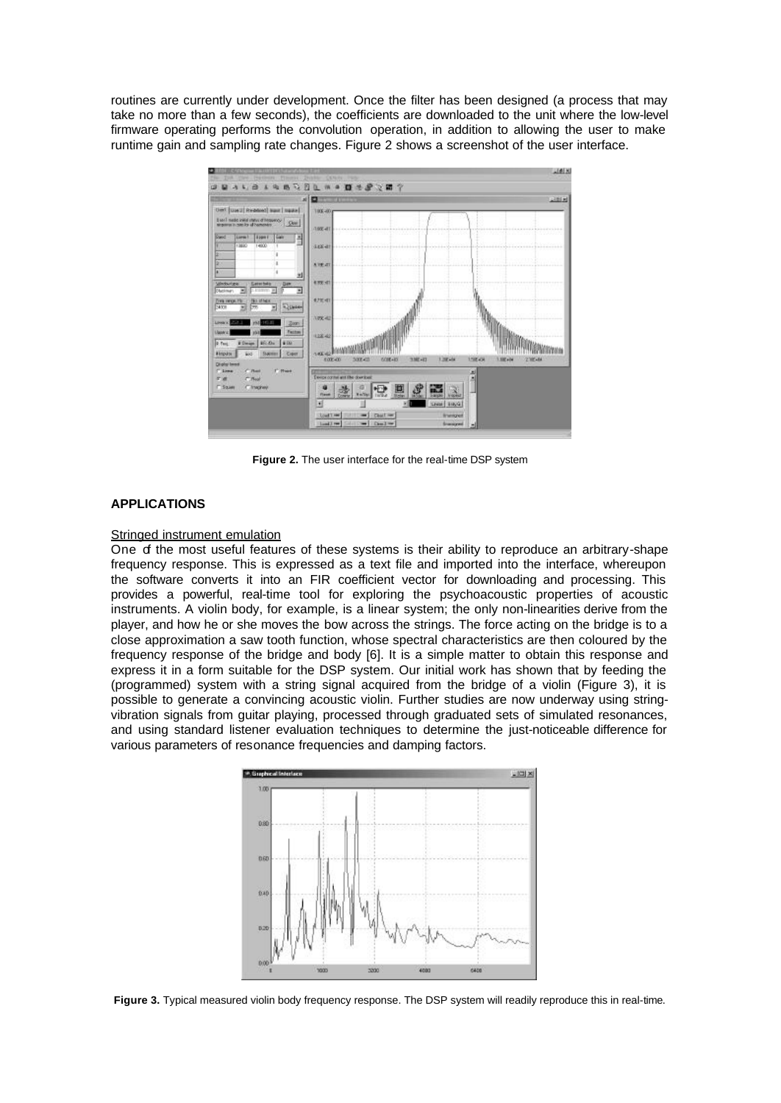routines are currently under development. Once the filter has been designed (a process that may take no more than a few seconds), the coefficients are downloaded to the unit where the low-level firmware operating performs the convolution operation, in addition to allowing the user to make runtime gain and sampling rate changes. Figure 2 shows a screenshot of the user interface.



**Figure 2.** The user interface for the real-time DSP system

## **APPLICATIONS**

## Stringed instrument emulation

One of the most useful features of these systems is their ability to reproduce an arbitrary-shape frequency response. This is expressed as a text file and imported into the interface, whereupon the software converts it into an FIR coefficient vector for downloading and processing. This provides a powerful, real-time tool for exploring the psychoacoustic properties of acoustic instruments. A violin body, for example, is a linear system; the only non-linearities derive from the player, and how he or she moves the bow across the strings. The force acting on the bridge is to a close approximation a saw tooth function, whose spectral characteristics are then coloured by the frequency response of the bridge and body [6]. It is a simple matter to obtain this response and express it in a form suitable for the DSP system. Our initial work has shown that by feeding the (programmed) system with a string signal acquired from the bridge of a violin (Figure 3), it is possible to generate a convincing acoustic violin. Further studies are now underway using stringvibration signals from guitar playing, processed through graduated sets of simulated resonances, and using standard listener evaluation techniques to determine the just-noticeable difference for various parameters of resonance frequencies and damping factors.



Figure 3. Typical measured violin body frequency response. The DSP system will readily reproduce this in real-time.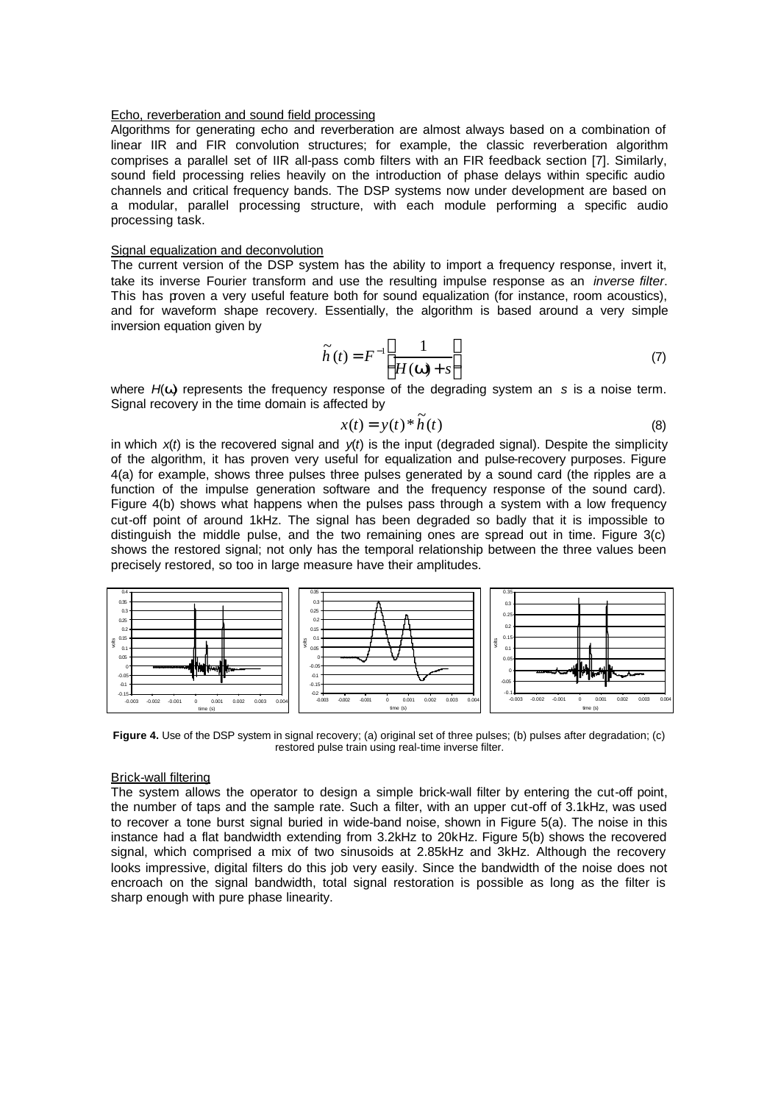### Echo, reverberation and sound field processing

Algorithms for generating echo and reverberation are almost always based on a combination of linear IIR and FIR convolution structures; for example, the classic reverberation algorithm comprises a parallel set of IIR all-pass comb filters with an FIR feedback section [7]. Similarly, sound field processing relies heavily on the introduction of phase delays within specific audio channels and critical frequency bands. The DSP systems now under development are based on a modular, parallel processing structure, with each module performing a specific audio processing task.

### Signal equalization and deconvolution

The current version of the DSP system has the ability to import a frequency response, invert it, take its inverse Fourier transform and use the resulting impulse response as an *inverse filter*. This has proven a very useful feature both for sound equalization (for instance, room acoustics), and for waveform shape recovery. Essentially, the algorithm is based around a very simple inversion equation given by

$$
\widetilde{h}(t) = F^{-1} \left[ \frac{1}{H(\mathbf{W}) + s} \right] \tag{7}
$$

where *H*(*w*) represents the frequency response of the degrading system an *s* is a noise term. Signal recovery in the time domain is affected by

$$
x(t) = y(t) * \tilde{h}(t)
$$
\n(8)

in which  $x(t)$  is the recovered signal and  $y(t)$  is the input (degraded signal). Despite the simplicity of the algorithm, it has proven very useful for equalization and pulse-recovery purposes. Figure 4(a) for example, shows three pulses three pulses generated by a sound card (the ripples are a function of the impulse generation software and the frequency response of the sound card). Figure 4(b) shows what happens when the pulses pass through a system with a low frequency cut-off point of around 1kHz. The signal has been degraded so badly that it is impossible to distinguish the middle pulse, and the two remaining ones are spread out in time. Figure 3(c) shows the restored signal; not only has the temporal relationship between the three values been precisely restored, so too in large measure have their amplitudes.



**Figure 4.** Use of the DSP system in signal recovery; (a) original set of three pulses; (b) pulses after degradation; (c) restored pulse train using real-time inverse filter.

### Brick-wall filtering

The system allows the operator to design a simple brick-wall filter by entering the cut-off point, the number of taps and the sample rate. Such a filter, with an upper cut-off of 3.1kHz, was used to recover a tone burst signal buried in wide-band noise, shown in Figure 5(a). The noise in this instance had a flat bandwidth extending from 3.2kHz to 20kHz. Figure 5(b) shows the recovered signal, which comprised a mix of two sinusoids at 2.85kHz and 3kHz. Although the recovery looks impressive, digital filters do this job very easily. Since the bandwidth of the noise does not encroach on the signal bandwidth, total signal restoration is possible as long as the filter is sharp enough with pure phase linearity.